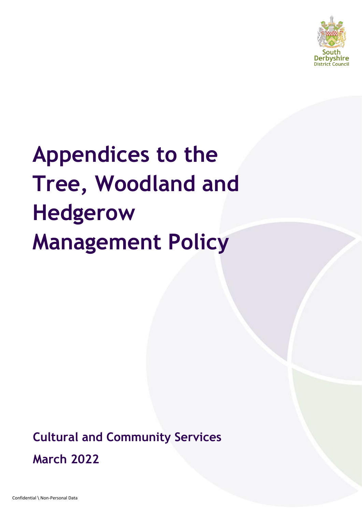

# **Appendices to the Tree, Woodland and Hedgerow Management Policy**

**Cultural and Community Services March 2022**

Confidential \ Non-Personal Data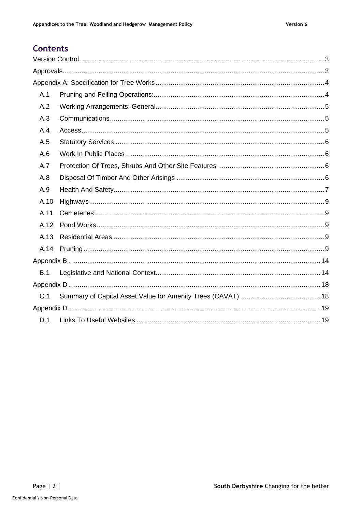# **Contents**

<span id="page-1-0"></span>

| A.1  |  |
|------|--|
| A.2  |  |
| A.3  |  |
| A.4  |  |
| A.5  |  |
| A.6  |  |
| A.7  |  |
| A.8  |  |
| A.9  |  |
| A.10 |  |
| A.11 |  |
| A.12 |  |
| A.13 |  |
| A.14 |  |
|      |  |
| B.1  |  |
|      |  |
| C.1  |  |
|      |  |
| D.1  |  |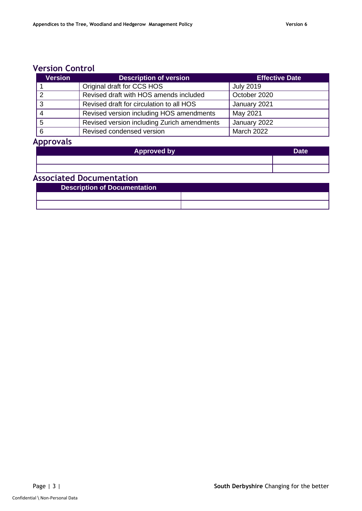# **Version Control**

| <b>Version</b> | <b>Description of version</b>               | <b>Effective Date</b> |
|----------------|---------------------------------------------|-----------------------|
|                | Original draft for CCS HOS                  | <b>July 2019</b>      |
|                | Revised draft with HOS amends included      | October 2020          |
|                | Revised draft for circulation to all HOS    | January 2021          |
|                | Revised version including HOS amendments    | May 2021              |
| 5              | Revised version including Zurich amendments | January 2022          |
| 6              | Revised condensed version                   | <b>March 2022</b>     |

# <span id="page-2-0"></span>**Approvals**

| <b>Approved by</b>              | <b>Date</b> |
|---------------------------------|-------------|
|                                 |             |
|                                 |             |
| <b>Associated Documentation</b> |             |

| <b>Description of Documentation</b> |  |  |
|-------------------------------------|--|--|
|                                     |  |  |
|                                     |  |  |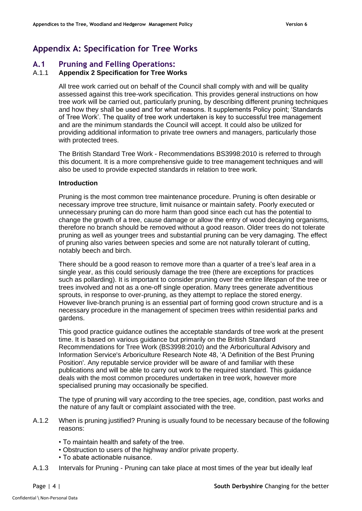# **Appendix A: Specification for Tree Works**

## <span id="page-3-1"></span>**A.1 Pruning and Felling Operations:**

#### A.1.1 **Appendix 2 Specification for Tree Works**

<span id="page-3-0"></span>All tree work carried out on behalf of the Council shall comply with and will be quality assessed against this tree-work specification. This provides general instructions on how tree work will be carried out, particularly pruning, by describing different pruning techniques and how they shall be used and for what reasons. It supplements Policy point; 'Standards of Tree Work'. The quality of tree work undertaken is key to successful tree management and are the minimum standards the Council will accept. It could also be utilized for providing additional information to private tree owners and managers, particularly those with protected trees.

The British Standard Tree Work - Recommendations BS3998:2010 is referred to through this document. It is a more comprehensive guide to tree management techniques and will also be used to provide expected standards in relation to tree work.

#### **Introduction**

Pruning is the most common tree maintenance procedure. Pruning is often desirable or necessary improve tree structure, limit nuisance or maintain safety. Poorly executed or unnecessary pruning can do more harm than good since each cut has the potential to change the growth of a tree, cause damage or allow the entry of wood decaying organisms, therefore no branch should be removed without a good reason. Older trees do not tolerate pruning as well as younger trees and substantial pruning can be very damaging. The effect of pruning also varies between species and some are not naturally tolerant of cutting, notably beech and birch.

There should be a good reason to remove more than a quarter of a tree's leaf area in a single year, as this could seriously damage the tree (there are exceptions for practices such as pollarding). It is important to consider pruning over the entire lifespan of the tree or trees involved and not as a one-off single operation. Many trees generate adventitious sprouts, in response to over-pruning, as they attempt to replace the stored energy. However live-branch pruning is an essential part of forming good crown structure and is a necessary procedure in the management of specimen trees within residential parks and gardens.

This good practice guidance outlines the acceptable standards of tree work at the present time. It is based on various guidance but primarily on the British Standard Recommendations for Tree Work (BS3998:2010) and the Arboricultural Advisory and Information Service's Arboriculture Research Note 48, 'A Definition of the Best Pruning Position'. Any reputable service provider will be aware of and familiar with these publications and will be able to carry out work to the required standard. This guidance deals with the most common procedures undertaken in tree work, however more specialised pruning may occasionally be specified.

The type of pruning will vary according to the tree species, age, condition, past works and the nature of any fault or complaint associated with the tree.

- A.1.2 When is pruning justified? Pruning is usually found to be necessary because of the following reasons:
	- To maintain health and safety of the tree.
	- Obstruction to users of the highway and/or private property.
	- To abate actionable nuisance.
- A.1.3 Intervals for Pruning Pruning can take place at most times of the year but ideally leaf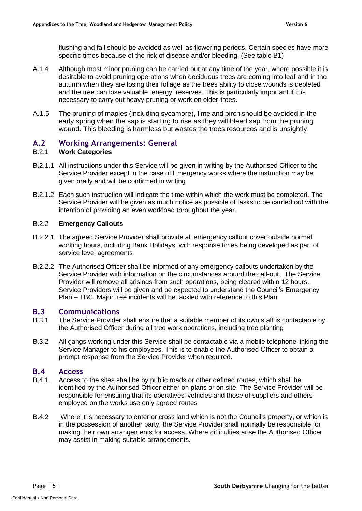flushing and fall should be avoided as well as flowering periods. Certain species have more specific times because of the risk of disease and/or bleeding. (See table B1)

- A.1.4 Although most minor pruning can be carried out at any time of the year, where possible it is desirable to avoid pruning operations when deciduous trees are coming into leaf and in the autumn when they are losing their foliage as the trees ability to close wounds is depleted and the tree can lose valuable energy reserves. This is particularly important if it is necessary to carry out heavy pruning or work on older trees.
- A.1.5 The pruning of maples (including sycamore), lime and birch should be avoided in the early spring when the sap is starting to rise as they will bleed sap from the pruning wound. This bleeding is harmless but wastes the trees resources and is unsightly.

# <span id="page-4-0"></span>**A.2 Working Arrangements: General**

## B.2.1 **Work Categories**

- B.2.1.1 All instructions under this Service will be given in writing by the Authorised Officer to the Service Provider except in the case of Emergency works where the instruction may be given orally and will be confirmed in writing
- B.2.1.2 Each such instruction will indicate the time within which the work must be completed. The Service Provider will be given as much notice as possible of tasks to be carried out with the intention of providing an even workload throughout the year.

#### B.2.2 **Emergency Callouts**

- B.2.2.1 The agreed Service Provider shall provide all emergency callout cover outside normal working hours, including Bank Holidays, with response times being developed as part of service level agreements
- B.2.2.2 The Authorised Officer shall be informed of any emergency callouts undertaken by the Service Provider with information on the circumstances around the call-out. The Service Provider will remove all arisings from such operations, being cleared within 12 hours. Service Providers will be given and be expected to understand the Council's Emergency Plan – TBC. Major tree incidents will be tackled with reference to this Plan

#### <span id="page-4-1"></span>**B.3 Communications**

- B.3.1 The Service Provider shall ensure that a suitable member of its own staff is contactable by the Authorised Officer during all tree work operations, including tree planting
- B.3.2 All gangs working under this Service shall be contactable via a mobile telephone linking the Service Manager to his employees. This is to enable the Authorised Officer to obtain a prompt response from the Service Provider when required.

## <span id="page-4-2"></span>**B.4 Access**

- B.4.1. Access to the sites shall be by public roads or other defined routes, which shall be identified by the Authorised Officer either on plans or on site. The Service Provider will be responsible for ensuring that its operatives' vehicles and those of suppliers and others employed on the works use only agreed routes
- B.4.2 Where it is necessary to enter or cross land which is not the Council's property, or which is in the possession of another party, the Service Provider shall normally be responsible for making their own arrangements for access. Where difficulties arise the Authorised Officer may assist in making suitable arrangements.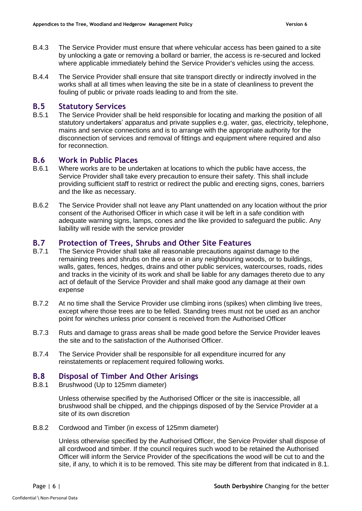- B.4.3 The Service Provider must ensure that where vehicular access has been gained to a site by unlocking a gate or removing a bollard or barrier, the access is re-secured and locked where applicable immediately behind the Service Provider's vehicles using the access.
- B.4.4 The Service Provider shall ensure that site transport directly or indirectly involved in the works shall at all times when leaving the site be in a state of cleanliness to prevent the fouling of public or private roads leading to and from the site.

## <span id="page-5-0"></span>**B.5 Statutory Services**

B.5.1 The Service Provider shall be held responsible for locating and marking the position of all statutory undertakers' apparatus and private supplies e.g. water, gas, electricity, telephone, mains and service connections and is to arrange with the appropriate authority for the disconnection of services and removal of fittings and equipment where required and also for reconnection.

## <span id="page-5-1"></span>**B.6 Work in Public Places**

- B.6.1 Where works are to be undertaken at locations to which the public have access, the Service Provider shall take every precaution to ensure their safety. This shall include providing sufficient staff to restrict or redirect the public and erecting signs, cones, barriers and the like as necessary.
- B.6.2 The Service Provider shall not leave any Plant unattended on any location without the prior consent of the Authorised Officer in which case it will be left in a safe condition with adequate warning signs, lamps, cones and the like provided to safeguard the public. Any liability will reside with the service provider

# <span id="page-5-2"></span>**B.7 Protection of Trees, Shrubs and Other Site Features**

- B.7.1 The Service Provider shall take all reasonable precautions against damage to the remaining trees and shrubs on the area or in any neighbouring woods, or to buildings, walls, gates, fences, hedges, drains and other public services, watercourses, roads, rides and tracks in the vicinity of its work and shall be liable for any damages thereto due to any act of default of the Service Provider and shall make good any damage at their own expense
- B.7.2 At no time shall the Service Provider use climbing irons (spikes) when climbing live trees, except where those trees are to be felled. Standing trees must not be used as an anchor point for winches unless prior consent is received from the Authorised Officer
- B.7.3 Ruts and damage to grass areas shall be made good before the Service Provider leaves the site and to the satisfaction of the Authorised Officer.
- B.7.4 The Service Provider shall be responsible for all expenditure incurred for any reinstatements or replacement required following works.

# <span id="page-5-3"></span>**B.8 Disposal of Timber And Other Arisings**

B.8.1 Brushwood (Up to 125mm diameter)

Unless otherwise specified by the Authorised Officer or the site is inaccessible, all brushwood shall be chipped, and the chippings disposed of by the Service Provider at a site of its own discretion

B.8.2 Cordwood and Timber (in excess of 125mm diameter)

Unless otherwise specified by the Authorised Officer, the Service Provider shall dispose of all cordwood and timber. If the council requires such wood to be retained the Authorised Officer will inform the Service Provider of the specifications the wood will be cut to and the site, if any, to which it is to be removed. This site may be different from that indicated in 8.1.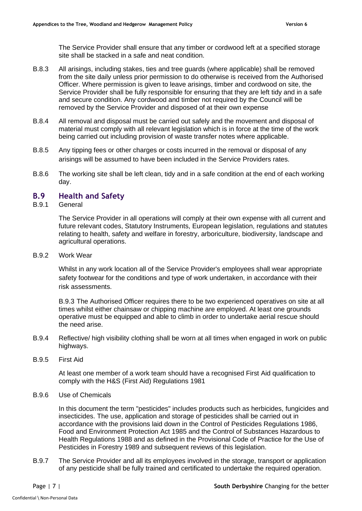The Service Provider shall ensure that any timber or cordwood left at a specified storage site shall be stacked in a safe and neat condition.

- B.8.3 All arisings, including stakes, ties and tree guards (where applicable) shall be removed from the site daily unless prior permission to do otherwise is received from the Authorised Officer. Where permission is given to leave arisings, timber and cordwood on site, the Service Provider shall be fully responsible for ensuring that they are left tidy and in a safe and secure condition. Any cordwood and timber not required by the Council will be removed by the Service Provider and disposed of at their own expense
- B.8.4 All removal and disposal must be carried out safely and the movement and disposal of material must comply with all relevant legislation which is in force at the time of the work being carried out including provision of waste transfer notes where applicable.
- B.8.5 Any tipping fees or other charges or costs incurred in the removal or disposal of any arisings will be assumed to have been included in the Service Providers rates.
- B.8.6 The working site shall be left clean, tidy and in a safe condition at the end of each working day.

# <span id="page-6-0"></span>**B.9 Health and Safety**

#### B.9.1 General

The Service Provider in all operations will comply at their own expense with all current and future relevant codes, Statutory Instruments, European legislation, regulations and statutes relating to health, safety and welfare in forestry, arboriculture, biodiversity, landscape and agricultural operations.

#### B.9.2 Work Wear

Whilst in any work location all of the Service Provider's employees shall wear appropriate safety footwear for the conditions and type of work undertaken, in accordance with their risk assessments.

B.9.3 The Authorised Officer requires there to be two experienced operatives on site at all times whilst either chainsaw or chipping machine are employed. At least one grounds operative must be equipped and able to climb in order to undertake aerial rescue should the need arise.

- B.9.4 Reflective/ high visibility clothing shall be worn at all times when engaged in work on public highways.
- B.9.5 First Aid

At least one member of a work team should have a recognised First Aid qualification to comply with the H&S (First Aid) Regulations 1981

B.9.6 Use of Chemicals

In this document the term "pesticides" includes products such as herbicides, fungicides and insecticides. The use, application and storage of pesticides shall be carried out in accordance with the provisions laid down in the Control of Pesticides Regulations 1986, Food and Environment Protection Act 1985 and the Control of Substances Hazardous to Health Regulations 1988 and as defined in the Provisional Code of Practice for the Use of Pesticides in Forestry 1989 and subsequent reviews of this legislation.

B.9.7 The Service Provider and all its employees involved in the storage, transport or application of any pesticide shall be fully trained and certificated to undertake the required operation.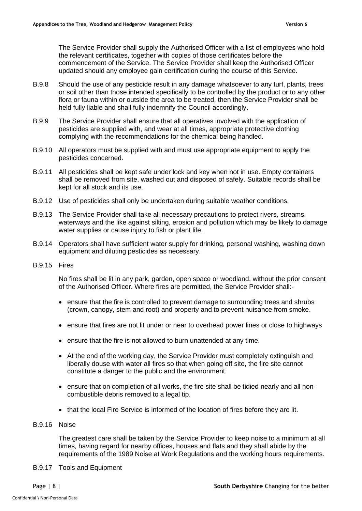The Service Provider shall supply the Authorised Officer with a list of employees who hold the relevant certificates, together with copies of those certificates before the commencement of the Service. The Service Provider shall keep the Authorised Officer updated should any employee gain certification during the course of this Service.

- B.9.8 Should the use of any pesticide result in any damage whatsoever to any turf, plants, trees or soil other than those intended specifically to be controlled by the product or to any other flora or fauna within or outside the area to be treated, then the Service Provider shall be held fully liable and shall fully indemnify the Council accordingly.
- B.9.9 The Service Provider shall ensure that all operatives involved with the application of pesticides are supplied with, and wear at all times, appropriate protective clothing complying with the recommendations for the chemical being handled.
- B.9.10 All operators must be supplied with and must use appropriate equipment to apply the pesticides concerned.
- B.9.11 All pesticides shall be kept safe under lock and key when not in use. Empty containers shall be removed from site, washed out and disposed of safely. Suitable records shall be kept for all stock and its use.
- B.9.12 Use of pesticides shall only be undertaken during suitable weather conditions.
- B.9.13 The Service Provider shall take all necessary precautions to protect rivers, streams, waterways and the like against silting, erosion and pollution which may be likely to damage water supplies or cause injury to fish or plant life.
- B.9.14 Operators shall have sufficient water supply for drinking, personal washing, washing down equipment and diluting pesticides as necessary.
- B.9.15 Fires

No fires shall be lit in any park, garden, open space or woodland, without the prior consent of the Authorised Officer. Where fires are permitted, the Service Provider shall:-

- ensure that the fire is controlled to prevent damage to surrounding trees and shrubs (crown, canopy, stem and root) and property and to prevent nuisance from smoke.
- ensure that fires are not lit under or near to overhead power lines or close to highways
- ensure that the fire is not allowed to burn unattended at any time.
- At the end of the working day, the Service Provider must completely extinguish and liberally douse with water all fires so that when going off site, the fire site cannot constitute a danger to the public and the environment.
- ensure that on completion of all works, the fire site shall be tidied nearly and all noncombustible debris removed to a legal tip.
- that the local Fire Service is informed of the location of fires before they are lit.
- B.9.16 Noise

The greatest care shall be taken by the Service Provider to keep noise to a minimum at all times, having regard for nearby offices, houses and flats and they shall abide by the requirements of the 1989 Noise at Work Regulations and the working hours requirements.

B.9.17 Tools and Equipment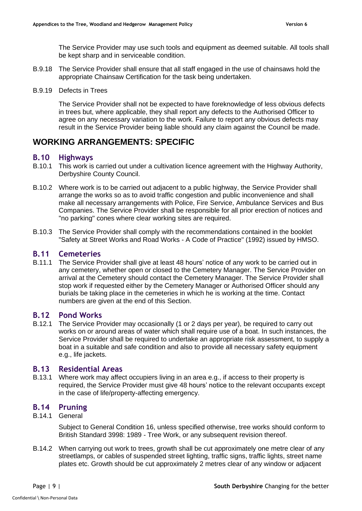The Service Provider may use such tools and equipment as deemed suitable. All tools shall be kept sharp and in serviceable condition.

- B.9.18 The Service Provider shall ensure that all staff engaged in the use of chainsaws hold the appropriate Chainsaw Certification for the task being undertaken.
- B.9.19 Defects in Trees

The Service Provider shall not be expected to have foreknowledge of less obvious defects in trees but, where applicable, they shall report any defects to the Authorised Officer to agree on any necessary variation to the work. Failure to report any obvious defects may result in the Service Provider being liable should any claim against the Council be made.

# **WORKING ARRANGEMENTS: SPECIFIC**

## <span id="page-8-0"></span>**B.10 Highways**

- B.10.1 This work is carried out under a cultivation licence agreement with the Highway Authority, Derbyshire County Council.
- B.10.2 Where work is to be carried out adjacent to a public highway, the Service Provider shall arrange the works so as to avoid traffic congestion and public inconvenience and shall make all necessary arrangements with Police, Fire Service, Ambulance Services and Bus Companies. The Service Provider shall be responsible for all prior erection of notices and "no parking" cones where clear working sites are required.
- B.10.3 The Service Provider shall comply with the recommendations contained in the booklet "Safety at Street Works and Road Works - A Code of Practice" (1992) issued by HMSO.

## <span id="page-8-1"></span>**B.11 Cemeteries**

B.11.1 The Service Provider shall give at least 48 hours' notice of any work to be carried out in any cemetery, whether open or closed to the Cemetery Manager. The Service Provider on arrival at the Cemetery should contact the Cemetery Manager. The Service Provider shall stop work if requested either by the Cemetery Manager or Authorised Officer should any burials be taking place in the cemeteries in which he is working at the time. Contact numbers are given at the end of this Section.

# <span id="page-8-2"></span>**B.12 Pond Works**

B.12.1 The Service Provider may occasionally (1 or 2 days per year), be required to carry out works on or around areas of water which shall require use of a boat. In such instances, the Service Provider shall be required to undertake an appropriate risk assessment, to supply a boat in a suitable and safe condition and also to provide all necessary safety equipment e.g., life jackets.

#### <span id="page-8-3"></span>**B.13 Residential Areas**

B.13.1 Where work may affect occupiers living in an area e.g., if access to their property is required, the Service Provider must give 48 hours' notice to the relevant occupants except in the case of life/property-affecting emergency.

# <span id="page-8-4"></span>**B.14 Pruning**

B.14.1 General

Subject to General Condition 16, unless specified otherwise, tree works should conform to British Standard 3998: 1989 - Tree Work, or any subsequent revision thereof.

B.14.2 When carrying out work to trees, growth shall be cut approximately one metre clear of any streetlamps, or cables of suspended street lighting, traffic signs, traffic lights, street name plates etc. Growth should be cut approximately 2 metres clear of any window or adjacent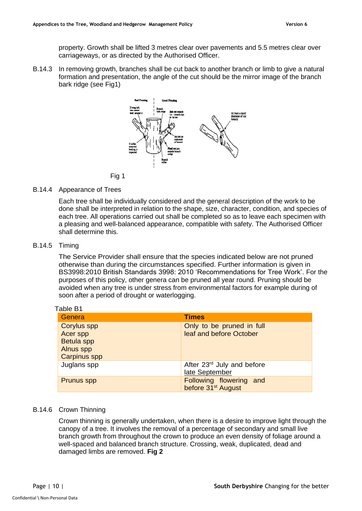property. Growth shall be lifted 3 metres clear over pavements and 5.5 metres clear over carriageways, or as directed by the Authorised Officer.

B.14.3 In removing growth, branches shall be cut back to another branch or limb to give a natural formation and presentation, the angle of the cut should be the mirror image of the branch bark ridge (see Fig1)



#### B.14.4 Appearance of Trees

Each tree shall be individually considered and the general description of the work to be done shall be interpreted in relation to the shape, size, character, condition, and species of each tree. All operations carried out shall be completed so as to leave each specimen with a pleasing and well-balanced appearance, compatible with safety. The Authorised Officer shall determine this.

#### B.14.5 Timing

 $\pm$  Table

The Service Provider shall ensure that the species indicated below are not pruned otherwise than during the circumstances specified. Further information is given in BS3998:2010 British Standards 3998: 2010 'Recommendations for Tree Work'. For the purposes of this policy, other genera can be pruned all year round. Pruning should be avoided when any tree is under stress from environmental factors for example during of soon after a period of drought or waterlogging.

| able B1                                                                                 |                                                           |
|-----------------------------------------------------------------------------------------|-----------------------------------------------------------|
| <b>Genera</b>                                                                           | <b>Times</b>                                              |
| <b>Corylus spp</b><br>Acer spp<br><b>Betula spp</b><br>Alnus spp<br><b>Carpinus spp</b> | Only to be pruned in full<br>leaf and before October      |
| Juglans spp                                                                             | After 23rd July and before<br>late September              |
| <b>Prunus spp</b>                                                                       | Following flowering and<br>before 31 <sup>st</sup> August |

#### B.14.6 Crown Thinning

Crown thinning is generally undertaken, when there is a desire to improve light through the canopy of a tree. It involves the removal of a percentage of secondary and small live branch growth from throughout the crown to produce an even density of foliage around a well-spaced and balanced branch structure. Crossing, weak, duplicated, dead and damaged limbs are removed. **Fig 2**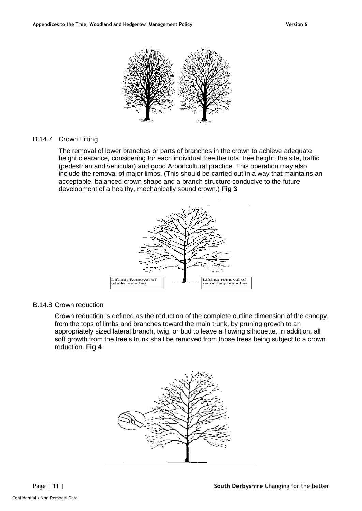

## B.14.7 Crown Lifting

The removal of lower branches or parts of branches in the crown to achieve adequate height clearance, considering for each individual tree the total tree height, the site, traffic (pedestrian and vehicular) and good Arboricultural practice. This operation may also include the removal of major limbs. (This should be carried out in a way that maintains an acceptable, balanced crown shape and a branch structure conducive to the future development of a healthy, mechanically sound crown.) **Fig 3**



#### B.14.8 Crown reduction

Crown reduction is defined as the reduction of the complete outline dimension of the canopy, from the tops of limbs and branches toward the main trunk, by pruning growth to an appropriately sized lateral branch, twig, or bud to leave a flowing silhouette. In addition, all soft growth from the tree's trunk shall be removed from those trees being subject to a crown reduction. **Fig 4**

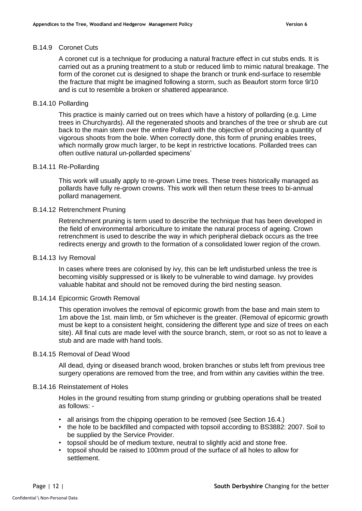#### B.14.9 Coronet Cuts

A coronet cut is a technique for producing a natural fracture effect in cut stubs ends. It is carried out as a pruning treatment to a stub or reduced limb to mimic natural breakage. The form of the coronet cut is designed to shape the branch or trunk end-surface to resemble the fracture that might be imagined following a storm, such as Beaufort storm force 9/10 and is cut to resemble a broken or shattered appearance.

#### B.14.10 Pollarding

This practice is mainly carried out on trees which have a history of pollarding (e.g. Lime trees in Churchyards). All the regenerated shoots and branches of the tree or shrub are cut back to the main stem over the entire Pollard with the objective of producing a quantity of vigorous shoots from the bole. When correctly done, this form of pruning enables trees, which normally grow much larger, to be kept in restrictive locations. Pollarded trees can often outlive natural un-pollarded specimens'

#### B.14.11 Re-Pollarding

This work will usually apply to re-grown Lime trees. These trees historically managed as pollards have fully re-grown crowns. This work will then return these trees to bi-annual pollard management.

#### B.14.12 Retrenchment Pruning

Retrenchment pruning is term used to describe the technique that has been developed in the field of environmental arboriculture to imitate the natural process of ageing. Crown retrenchment is used to describe the way in which peripheral dieback occurs as the tree redirects energy and growth to the formation of a consolidated lower region of the crown.

#### B.14.13 Ivy Removal

In cases where trees are colonised by ivy, this can be left undisturbed unless the tree is becoming visibly suppressed or is likely to be vulnerable to wind damage. Ivy provides valuable habitat and should not be removed during the bird nesting season.

#### B.14.14 Epicormic Growth Removal

This operation involves the removal of epicormic growth from the base and main stem to 1m above the 1st. main limb, or 5m whichever is the greater. (Removal of epicormic growth must be kept to a consistent height, considering the different type and size of trees on each site). All final cuts are made level with the source branch, stem, or root so as not to leave a stub and are made with hand tools.

#### B.14.15 Removal of Dead Wood

All dead, dying or diseased branch wood, broken branches or stubs left from previous tree surgery operations are removed from the tree, and from within any cavities within the tree.

#### B.14.16 Reinstatement of Holes

Holes in the ground resulting from stump grinding or grubbing operations shall be treated as follows: -

- all arisings from the chipping operation to be removed (see Section 16.4.)
- the hole to be backfilled and compacted with topsoil according to BS3882: 2007. Soil to be supplied by the Service Provider.
- topsoil should be of medium texture, neutral to slightly acid and stone free.
- topsoil should be raised to 100mm proud of the surface of all holes to allow for settlement.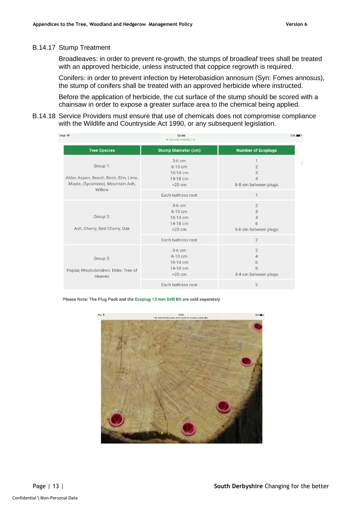#### B.14.17 Stump Treatment

Broadleaves: in order to prevent re-growth, the stumps of broadleaf trees shall be treated with an approved herbicide, unless instructed that coppice regrowth is required.

Conifers: in order to prevent infection by Heterobasidion annosum (Syn: Fomes annosus), the stump of conifers shall be treated with an approved herbicide where instructed.

Before the application of herbicide, the cut surface of the stump should be scored with a chainsaw in order to expose a greater surface area to the chemical being applied.

B.14.18 Service Providers must ensure that use of chemicals does not compromise compliance with the Wildlife and Countryside Act 1990, or any subsequent legislation.

| iPad 今                                                                                           | 12:40<br>A Maxwell Amenity Ltd                            | $70\%$                                                             |
|--------------------------------------------------------------------------------------------------|-----------------------------------------------------------|--------------------------------------------------------------------|
| <b>Tree Species</b>                                                                              | <b>Stump Diameter (cm)</b>                                | <b>Number of Ecoplugs</b>                                          |
| Group 1:<br>Alder, Aspen, Beech, Birch, Elm, Lime,<br>Maple, (Sycamore), Mountain Ash,<br>Willow | $3-6$ cm<br>$6-10$ cm<br>10-14 cm<br>14-18 cm<br>$>20$ cm | 1<br>$\overline{2}$<br>3<br>$\overline{4}$<br>6-8 cm between plugs |
|                                                                                                  | Each buttress root                                        | $\mathbf 1$                                                        |
| Group 2:<br>Ash, Cherry, Bird Cherry, Oak                                                        | $3-6$ cm<br>$6-10$ cm<br>10-14 cm<br>14-18 cm<br>$>20$ cm | $\overline{2}$<br>3<br>$\overline{4}$<br>6<br>5-6 cm between plugs |
|                                                                                                  | Each buttress root                                        | $\overline{2}$                                                     |
| Group 3:<br>Poplar, Rhododendron, Elder, Tree of<br>Heaven                                       | $3-6$ cm<br>6-10 cm<br>10-14 cm<br>14-18 cm<br>$>20$ cm   | $\overline{2}$<br>$\overline{4}$<br>6<br>8<br>3-4 cm between plugs |
|                                                                                                  | Each buttress root                                        | $\overline{2}$                                                     |

Please Note: The Plug Pack and the Ecoplug 13 mm Drill Bit are sold separately

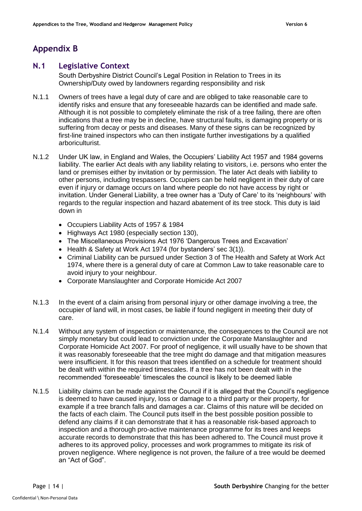# <span id="page-13-0"></span>**Appendix B**

## <span id="page-13-1"></span>**N.1 Legislative Context**

South Derbyshire District Council's Legal Position in Relation to Trees in its Ownership/Duty owed by landowners regarding responsibility and risk

- N.1.1 Owners of trees have a legal duty of care and are obliged to take reasonable care to identify risks and ensure that any foreseeable hazards can be identified and made safe. Although it is not possible to completely eliminate the risk of a tree failing, there are often indications that a tree may be in decline, have structural faults, is damaging property or is suffering from decay or pests and diseases. Many of these signs can be recognized by first-line trained inspectors who can then instigate further investigations by a qualified arboriculturist.
- N.1.2 Under UK law, in England and Wales, the Occupiers' Liability Act 1957 and 1984 governs liability. The earlier Act deals with any liability relating to visitors, i.e. persons who enter the land or premises either by invitation or by permission. The later Act deals with liability to other persons, including trespassers. Occupiers can be held negligent in their duty of care even if injury or damage occurs on land where people do not have access by right or invitation. Under General Liability, a tree owner has a 'Duty of Care' to its 'neighbours' with regards to the regular inspection and hazard abatement of its tree stock. This duty is laid down in
	- Occupiers Liability Acts of 1957 & 1984
	- Highways Act 1980 (especially section 130),
	- The Miscellaneous Provisions Act 1976 'Dangerous Trees and Excavation'
	- Health & Safety at Work Act 1974 (for bystanders' sec 3(1)).
	- Criminal Liability can be pursued under Section 3 of The Health and Safety at Work Act 1974, where there is a general duty of care at Common Law to take reasonable care to avoid injury to your neighbour.
	- Corporate Manslaughter and Corporate Homicide Act 2007
- N.1.3 In the event of a claim arising from personal injury or other damage involving a tree, the occupier of land will, in most cases, be liable if found negligent in meeting their duty of care.
- N.1.4 Without any system of inspection or maintenance, the consequences to the Council are not simply monetary but could lead to conviction under the Corporate Manslaughter and Corporate Homicide Act 2007. For proof of negligence, it will usually have to be shown that it was reasonably foreseeable that the tree might do damage and that mitigation measures were insufficient. It for this reason that trees identified on a schedule for treatment should be dealt with within the required timescales. If a tree has not been dealt with in the recommended 'foreseeable' timescales the council is likely to be deemed liable
- N.1.5 Liability claims can be made against the Council if it is alleged that the Council's negligence is deemed to have caused injury, loss or damage to a third party or their property, for example if a tree branch falls and damages a car. Claims of this nature will be decided on the facts of each claim. The Council puts itself in the best possible position possible to defend any claims if it can demonstrate that it has a reasonable risk-based approach to inspection and a thorough pro-active maintenance programme for its trees and keeps accurate records to demonstrate that this has been adhered to. The Council must prove it adheres to its approved policy, processes and work programmes to mitigate its risk of proven negligence. Where negligence is not proven, the failure of a tree would be deemed an "Act of God".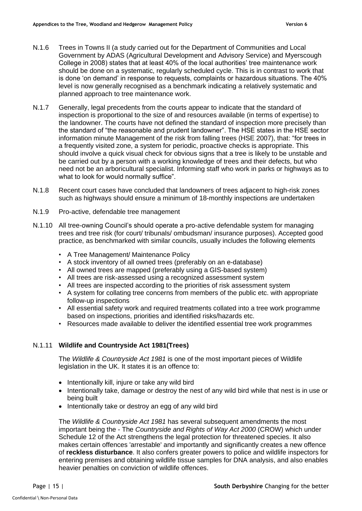- N.1.6 Trees in Towns II (a study carried out for the Department of Communities and Local Government by ADAS (Agricultural Development and Advisory Service) and Myerscough College in 2008) states that at least 40% of the local authorities' tree maintenance work should be done on a systematic, regularly scheduled cycle. This is in contrast to work that is done 'on demand' in response to requests, complaints or hazardous situations. The 40% level is now generally recognised as a benchmark indicating a relatively systematic and planned approach to tree maintenance work.
- N.1.7 Generally, legal precedents from the courts appear to indicate that the standard of inspection is proportional to the size of and resources available (in terms of expertise) to the landowner. The courts have not defined the standard of inspection more precisely than the standard of "the reasonable and prudent landowner". The HSE states in the HSE sector information minute Management of the risk from falling trees (HSE 2007), that: "for trees in a frequently visited zone, a system for periodic, proactive checks is appropriate. This should involve a quick visual check for obvious signs that a tree is likely to be unstable and be carried out by a person with a working knowledge of trees and their defects, but who need not be an arboricultural specialist. Informing staff who work in parks or highways as to what to look for would normally suffice".
- N.1.8 Recent court cases have concluded that landowners of trees adjacent to high-risk zones such as highways should ensure a minimum of 18-monthly inspections are undertaken
- N.1.9 Pro-active, defendable tree management
- N.1.10 All tree-owning Council's should operate a pro-active defendable system for managing trees and tree risk (for court/ tribunals/ ombudsman/ insurance purposes). Accepted good practice, as benchmarked with similar councils, usually includes the following elements
	- A Tree Management/ Maintenance Policy
	- A stock inventory of all owned trees (preferably on an e-database)
	- All owned trees are mapped (preferably using a GIS-based system)
	- All trees are risk-assessed using a recognized assessment system
	- All trees are inspected according to the priorities of risk assessment system
	- A system for collating tree concerns from members of the public etc. with appropriate follow-up inspections
	- All essential safety work and required treatments collated into a tree work programme based on inspections, priorities and identified risks/hazards etc.
	- Resources made available to deliver the identified essential tree work programmes

#### N.1.11 **Wildlife and Countryside Act 1981(Trees)**

The *Wildlife & Countryside Act 1981* is one of the most important pieces of Wildlife legislation in the UK. It states it is an offence to:

- Intentionally kill, injure or take any wild bird
- Intentionally take, damage or destroy the nest of any wild bird while that nest is in use or being built
- Intentionally take or destroy an egg of any wild bird

The *Wildlife & Countryside Act 1981* has several subsequent amendments the most important being the - The *Countryside and Rights of Way Act 2000* (CROW) which under Schedule 12 of the Act strengthens the legal protection for threatened species. It also makes certain offences 'arrestable' and importantly and significantly creates a new offence of **reckless disturbance**. It also confers greater powers to police and wildlife inspectors for entering premises and obtaining wildlife tissue samples for DNA analysis, and also enables heavier penalties on conviction of wildlife offences.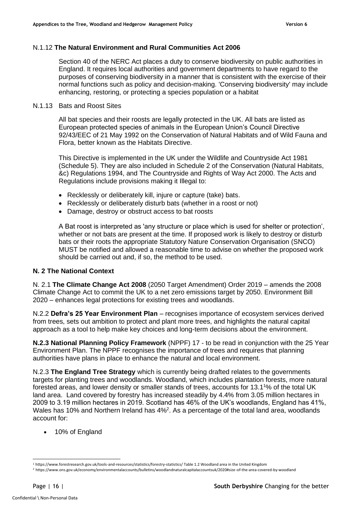#### N.1.12 **The Natural Environment and Rural Communities Act 2006**

Section 40 of the NERC Act places a duty to conserve biodiversity on public authorities in England. It requires local authorities and government departments to have regard to the purposes of conserving biodiversity in a manner that is consistent with the exercise of their normal functions such as policy and decision-making. 'Conserving biodiversity' may include enhancing, restoring, or protecting a species population or a habitat

#### N.1.13 Bats and Roost Sites

All bat species and their roosts are legally protected in the UK. All bats are listed as European protected species of animals in the European Union's Council Directive 92/43/EEC of 21 May 1992 on the Conservation of Natural Habitats and of Wild Fauna and Flora, better known as the Habitats Directive.

This Directive is implemented in the UK under the Wildlife and Countryside Act 1981 (Schedule 5). They are also included in Schedule 2 of the Conservation (Natural Habitats, &c) Regulations 1994, and The Countryside and Rights of Way Act 2000. The Acts and Regulations include provisions making it Illegal to:

- Recklessly or deliberately kill, injure or capture (take) bats.
- Recklessly or deliberately disturb bats (whether in a roost or not)
- Damage, destroy or obstruct access to bat roosts

A Bat roost is interpreted as 'any structure or place which is used for shelter or protection', whether or not bats are present at the time. If proposed work is likely to destroy or disturb bats or their roots the appropriate Statutory Nature Conservation Organisation (SNCO) MUST be notified and allowed a reasonable time to advise on whether the proposed work should be carried out and, if so, the method to be used.

#### **N. 2 The National Context**

N. 2.1 **The Climate Change Act 2008** (2050 Target Amendment) Order 2019 – amends the 2008 Climate Change Act to commit the UK to a net zero emissions target by 2050. Environment Bill 2020 – enhances legal protections for existing trees and woodlands.

N.2.2 **Defra's 25 Year Environment Plan** – recognises importance of ecosystem services derived from trees, sets out ambition to protect and plant more trees, and highlights the natural capital approach as a tool to help make key choices and long-term decisions about the environment.

**N.2.3 National Planning Policy Framework** (NPPF) 17 - to be read in conjunction with the 25 Year Environment Plan. The NPPF recognises the importance of trees and requires that planning authorities have plans in place to enhance the natural and local environment.

N.2.3 **The England Tree Strategy** which is currently being drafted relates to the governments targets for planting trees and woodlands. Woodland, which includes plantation forests, more natural forested areas, and lower density or smaller stands of trees, accounts for 13.1<sup>1</sup>% of the total UK land area. Land covered by forestry has increased steadily by 4.4% from 3.05 million hectares in 2009 to 3.19 million hectares in 2019. Scotland has 46% of the UK's woodlands, England has 41%, Wales has 10% and Northern Ireland has 4%<sup>2</sup>. As a percentage of the total land area, woodlands account for:

• 10% of England

<sup>1</sup> https://www.forestresearch.gov.uk/tools-and-resources/statistics/forestry-statistics/ Table 1.2 Woodland area in the United Kingdom <sup>2</sup> https://www.ons.gov.uk/economy/environmentalaccounts/bulletins/woodlandnaturalcapitalaccountsuk/2020#size-of-the-area-covered-by-woodland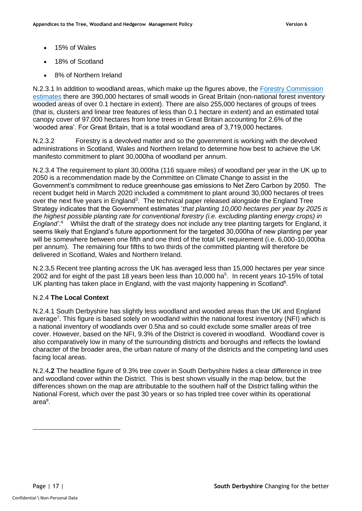- 15% of Wales
- 18% of Scotland
- 8% of Northern Ireland

N.2.3.1 In addition to woodland areas, which make up the figures above, the [Forestry Commission](https://www.forestresearch.gov.uk/tools-and-resources/national-forest-inventory/what-our-woodlands-and-tree-cover-outside-woodlands-are-like-today-8211-nfi-inventory-reports-and-woodland-map-reports/)  [estimates](https://www.forestresearch.gov.uk/tools-and-resources/national-forest-inventory/what-our-woodlands-and-tree-cover-outside-woodlands-are-like-today-8211-nfi-inventory-reports-and-woodland-map-reports/) there are 390,000 hectares of small woods in Great Britain (non-national forest inventory wooded areas of over 0.1 hectare in extent). There are also 255,000 hectares of groups of trees (that is, clusters and linear tree features of less than 0.1 hectare in extent) and an estimated total canopy cover of 97,000 hectares from lone trees in Great Britain accounting for 2.6% of the 'wooded area'. For Great Britain, that is a total woodland area of 3,719,000 hectares.

N.2.3.2 Forestry is a devolved matter and so the government is working with the devolved administrations in Scotland, Wales and Northern Ireland to determine how best to achieve the UK manifesto commitment to plant 30,000ha of woodland per annum.

N.2.3.4 The requirement to plant 30,000ha (116 square miles) of woodland per year in the UK up to 2050 is a recommendation made by the Committee on Climate Change to assist in the Government's commitment to reduce greenhouse gas emissions to Net Zero Carbon by 2050. The recent budget held in March 2020 included a commitment to plant around 30,000 hectares of trees over the next five years in England<sup>3</sup>. The technical paper released alongside the England Tree Strategy indicates that the Government estimates '*that planting 10,000 hectares per year by 2025 is the highest possible planting rate for conventional forestry (i.e. excluding planting energy crops) in*  England'.<sup>4</sup> Whilst the draft of the strategy does not include any tree planting targets for England, it seems likely that England's future apportionment for the targeted 30,000ha of new planting per year will be somewhere between one fifth and one third of the total UK requirement (i.e. 6,000-10,000ha per annum). The remaining four fifths to two thirds of the committed planting will therefore be delivered in Scotland, Wales and Northern Ireland.

N.2.3**.**5 Recent tree planting across the UK has averaged less than 15,000 hectares per year since 2002 and for eight of the past 18 years been less than 10,000 ha<sup>5</sup>. In recent years 10-15% of total UK planting has taken place in England, with the vast majority happening in Scotland<sup>6</sup>.

#### N.2.4 **The Local Context**

N.2.4.1 South Derbyshire has slightly less woodland and wooded areas than the UK and England average<sup>7</sup>. This figure is based solely on woodland within the national forest inventory (NFI) which is a national inventory of woodlands over 0.5ha and so could exclude some smaller areas of tree cover. However, based on the NFI, 9.3% of the District is covered in woodland. Woodland cover is also comparatively low in many of the surrounding districts and boroughs and reflects the lowland character of the broader area, the urban nature of many of the districts and the competing land uses facing local areas.

N.2.4**.2** The headline figure of 9.3% tree cover in South Derbyshire hides a clear difference in tree and woodland cover within the District. This is best shown visually in the map below, but the differences shown on the map are attributable to the southern half of the District falling within the National Forest, which over the past 30 years or so has tripled tree cover within its operational area 8 .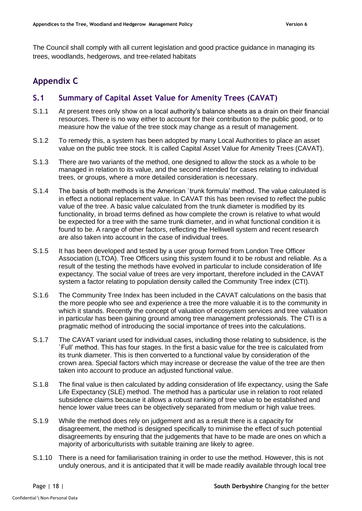The Council shall comply with all current legislation and good practice guidance in managing its trees, woodlands, hedgerows, and tree-related habitats

# <span id="page-17-0"></span>**Appendix C**

# <span id="page-17-1"></span>**S.1 Summary of Capital Asset Value for Amenity Trees (CAVAT)**

- S.1.1 At present trees only show on a local authority's balance sheets as a drain on their financial resources. There is no way either to account for their contribution to the public good, or to measure how the value of the tree stock may change as a result of management.
- S.1.2 To remedy this, a system has been adopted by many Local Authorities to place an asset value on the public tree stock. It is called Capital Asset Value for Amenity Trees (CAVAT).
- S.1.3 There are two variants of the method, one designed to allow the stock as a whole to be managed in relation to its value, and the second intended for cases relating to individual trees, or groups, where a more detailed consideration is necessary.
- S.1.4 The basis of both methods is the American `trunk formula' method. The value calculated is in effect a notional replacement value. In CAVAT this has been revised to reflect the public value of the tree. A basic value calculated from the trunk diameter is modified by its functionality, in broad terms defined as how complete the crown is relative to what would be expected for a tree with the same trunk diameter, and in what functional condition it is found to be. A range of other factors, reflecting the Helliwell system and recent research are also taken into account in the case of individual trees.
- S.1.5 It has been developed and tested by a user group formed from London Tree Officer Association (LTOA). Tree Officers using this system found it to be robust and reliable. As a result of the testing the methods have evolved in particular to include consideration of life expectancy. The social value of trees are very important, therefore included in the CAVAT system a factor relating to population density called the Community Tree index (CTI).
- S.1.6 The Community Tree Index has been included in the CAVAT calculations on the basis that the more people who see and experience a tree the more valuable it is to the community in which it stands. Recently the concept of valuation of ecosystem services and tree valuation in particular has been gaining ground among tree management professionals. The CTI is a pragmatic method of introducing the social importance of trees into the calculations.
- S.1.7 The CAVAT variant used for individual cases, including those relating to subsidence, is the `Full' method. This has four stages. In the first a basic value for the tree is calculated from its trunk diameter. This is then converted to a functional value by consideration of the crown area. Special factors which may increase or decrease the value of the tree are then taken into account to produce an adjusted functional value.
- S.1.8 The final value is then calculated by adding consideration of life expectancy, using the Safe Life Expectancy (SLE) method. The method has a particular use in relation to root related subsidence claims because it allows a robust ranking of tree value to be established and hence lower value trees can be objectively separated from medium or high value trees.
- S.1.9 While the method does rely on judgement and as a result there is a capacity for disagreement, the method is designed specifically to minimise the effect of such potential disagreements by ensuring that the judgements that have to be made are ones on which a majority of arboriculturists with suitable training are likely to agree.
- S.1.10 There is a need for familiarisation training in order to use the method. However, this is not unduly onerous, and it is anticipated that it will be made readily available through local tree